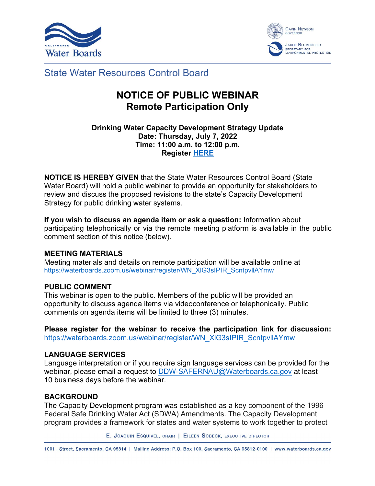



State Water Resources Control Board

# **NOTICE OF PUBLIC WEBINAR Remote Participation Only**

### **Drinking Water Capacity Development Strategy Update Date: Thursday, July 7, 2022 Time: 11:00 a.m. to 12:00 p.m. Register [HERE](https://waterboards.zoom.us/webinar/register/WN_XlG3sIPIR_ScntpvllAYmw)**

**NOTICE IS HEREBY GIVEN** that the State Water Resources Control Board (State Water Board) will hold a public webinar to provide an opportunity for stakeholders to review and discuss the proposed revisions to the state's Capacity Development Strategy for public drinking water systems.

**If you wish to discuss an agenda item or ask a question:** Information about participating telephonically or via the remote meeting platform is available in the public comment section of this notice (below).

# **MEETING MATERIALS**

Meeting materials and details on remote participation will be available online at [https://waterboards.zoom.us/webinar/register/WN\\_XlG3sIPIR\\_ScntpvllAYmw](https://waterboards.zoom.us/webinar/register/WN_XlG3sIPIR_ScntpvllAYmw)

# **PUBLIC COMMENT**

This webinar is open to the public. Members of the public will be provided an opportunity to discuss agenda items via videoconference or telephonically. Public comments on agenda items will be limited to three (3) minutes.

**Please register for the webinar to receive the participation link for discussion:**  [https://waterboards.zoom.us/webinar/register/WN\\_XlG3sIPIR\\_ScntpvllAYmw](https://waterboards.zoom.us/webinar/register/WN_XlG3sIPIR_ScntpvllAYmw)

### **LANGUAGE SERVICES**

Language interpretation or if you require sign language services can be provided for the webinar, please email a request to [DDW-SAFERNAU@Waterboards.ca.gov](mailto:DDW-SAFERNAU@Waterboards.ca.gov) at least 10 business days before the webinar.

# **BACKGROUND**

The Capacity Development program was established as a key component of the 1996 Federal Safe Drinking Water Act (SDWA) Amendments. The Capacity Development program provides a framework for states and water systems to work together to protect

E. JOAQUIN ESQUIVEL, CHAIR | EILEEN SOBECK, EXECUTIVE DIRECTOR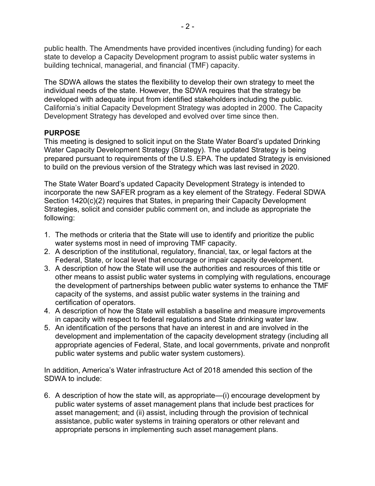public health. The Amendments have provided incentives (including funding) for each state to develop a Capacity Development program to assist public water systems in building technical, managerial, and financial (TMF) capacity.

The SDWA allows the states the flexibility to develop their own strategy to meet the individual needs of the state. However, the SDWA requires that the strategy be developed with adequate input from identified stakeholders including the public. California's initial Capacity Development Strategy was adopted in 2000. The Capacity Development Strategy has developed and evolved over time since then.

## **PURPOSE**

This meeting is designed to solicit input on the State Water Board's updated Drinking Water Capacity Development Strategy (Strategy). The updated Strategy is being prepared pursuant to requirements of the U.S. EPA. The updated Strategy is envisioned to build on the previous version of the Strategy which was last revised in 2020.

The State Water Board's updated Capacity Development Strategy is intended to incorporate the new SAFER program as a key element of the Strategy. Federal SDWA Section 1420(c)(2) requires that States, in preparing their Capacity Development Strategies, solicit and consider public comment on, and include as appropriate the following:

- 1. The methods or criteria that the State will use to identify and prioritize the public water systems most in need of improving TMF capacity.
- 2. A description of the institutional, regulatory, financial, tax, or legal factors at the Federal, State, or local level that encourage or impair capacity development.
- 3. A description of how the State will use the authorities and resources of this title or other means to assist public water systems in complying with regulations, encourage the development of partnerships between public water systems to enhance the TMF capacity of the systems, and assist public water systems in the training and certification of operators.
- 4. A description of how the State will establish a baseline and measure improvements in capacity with respect to federal regulations and State drinking water law.
- 5. An identification of the persons that have an interest in and are involved in the development and implementation of the capacity development strategy (including all appropriate agencies of Federal, State, and local governments, private and nonprofit public water systems and public water system customers).

In addition, America's Water infrastructure Act of 2018 amended this section of the SDWA to include:

6. A description of how the state will, as appropriate—(i) encourage development by public water systems of asset management plans that include best practices for asset management; and (ii) assist, including through the provision of technical assistance, public water systems in training operators or other relevant and appropriate persons in implementing such asset management plans.